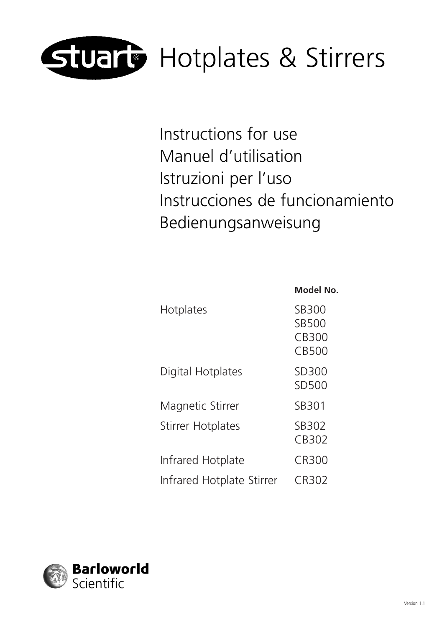

Instructions for use Manuel d'utilisation Istruzioni per l'uso Instrucciones de funcionamiento Bedienungsanweisung

|                           | Model No.                               |
|---------------------------|-----------------------------------------|
| Hotplates                 | SB300<br><b>SB500</b><br>CB300<br>CB500 |
| Digital Hotplates         | SD300<br>SD500                          |
| Magnetic Stirrer          | SB301                                   |
| <b>Stirrer Hotplates</b>  | SB302<br>CB302                          |
| Infrared Hotplate         | CR300                                   |
| Infrared Hotplate Stirrer | CR302                                   |

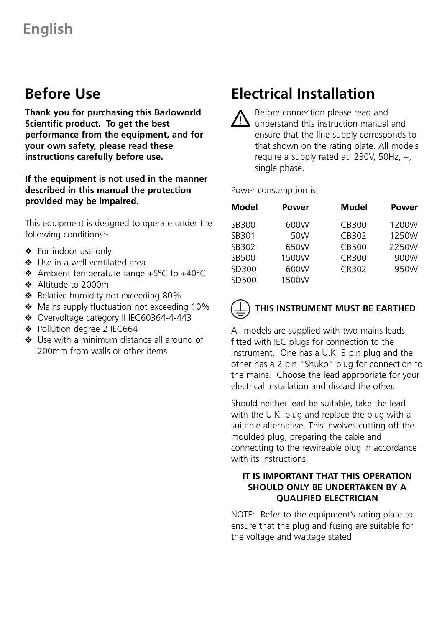### **Before Use**

**Thank you for purchasing this Barloworld Scientific product. To get the best performance from the equipment, and for your own safety, please read these instructions carefully before use.**

#### **If the equipment is not used in the manner described in this manual the protection provided may be impaired.**

This equipment is designed to operate under the following conditions:-

- ❖ For indoor use only
- ❖ Use in a well ventilated area
- ❖ Ambient temperature range +5°C to +40°C
- ❖ Altitude to 2000m
- ❖ Relative humidity not exceeding 80%
- ❖ Mains supply fluctuation not exceeding 10%
- ❖ Overvoltage category II IEC60364-4-443
- ❖ Pollution degree 2 IEC664
- ❖ Use with a minimum distance all around of 200mm from walls or other items

# **Electrical Installation**

Before connection please read and understand this instruction manual and ensure that the line supply corresponds to that shown on the rating plate. All models require a supply rated at: 230V, 50Hz, ~, single phase.

Power consumption is:

| Model | Power | Model | Power |
|-------|-------|-------|-------|
| SB300 | 600W  | CB300 | 1200W |
| SB301 | 50W   | CB302 | 1250W |
| SB302 | 650W  | CB500 | 2250W |
| SB500 | 1500W | CR300 | 900W  |
| SD300 | 600W  | CR302 | 950W  |
| SD500 | 1500W |       |       |



### **THIS INSTRUMENT MUST BE EARTHED**

All models are supplied with two mains leads fitted with IEC plugs for connection to the instrument. One has a U.K. 3 pin plug and the other has a 2 pin "Shuko" plug for connection to the mains. Choose the lead appropriate for your electrical installation and discard the other.

Should neither lead be suitable, take the lead with the U.K. plug and replace the plug with a suitable alternative. This involves cutting off the moulded plug, preparing the cable and connecting to the rewireable plug in accordance with its instructions.

#### **IT IS IMPORTANT THAT THIS OPERATION SHOULD ONLY BE UNDERTAKEN BY A QUALIFIED ELECTRICIAN**

NOTE: Refer to the equipment's rating plate to ensure that the plug and fusing are suitable for the voltage and wattage stated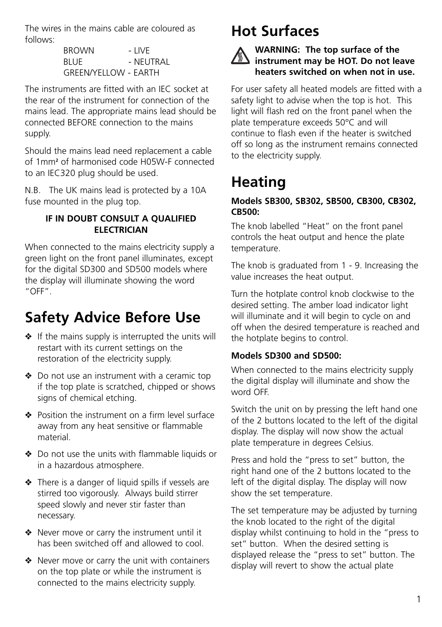The wires in the mains cable are coloured as follows:

> BROWN - LIVE BLUE - NEUTRAL GREEN/YELLOW - EARTH

The instruments are fitted with an IEC socket at the rear of the instrument for connection of the mains lead. The appropriate mains lead should be connected BEFORE connection to the mains supply.

Should the mains lead need replacement a cable of 1mm**<sup>2</sup>** of harmonised code H05W-F connected to an IEC320 plug should be used.

N.B. The UK mains lead is protected by a 10A fuse mounted in the plug top.

### **IF IN DOUBT CONSULT A QUALIFIED ELECTRICIAN**

When connected to the mains electricity supply a green light on the front panel illuminates, except for the digital SD300 and SD500 models where the display will illuminate showing the word "OFF".

# **Safety Advice Before Use**

- ❖ If the mains supply is interrupted the units will restart with its current settings on the restoration of the electricity supply.
- ❖ Do not use an instrument with a ceramic top if the top plate is scratched, chipped or shows signs of chemical etching.
- ❖ Position the instrument on a firm level surface away from any heat sensitive or flammable material.
- ❖ Do not use the units with flammable liquids or in a hazardous atmosphere.
- ❖ There is a danger of liquid spills if vessels are stirred too vigorously. Always build stirrer speed slowly and never stir faster than necessary.
- ❖ Never move or carry the instrument until it has been switched off and allowed to cool.
- ❖ Never move or carry the unit with containers on the top plate or while the instrument is connected to the mains electricity supply.

# **Hot Surfaces**

### **WARNING: The top surface of the instrument may be HOT. Do not leave heaters switched on when not in use.**

For user safety all heated models are fitted with a safety light to advise when the top is hot. This light will flash red on the front panel when the plate temperature exceeds 50°C and will continue to flash even if the heater is switched off so long as the instrument remains connected to the electricity supply.

# **Heating**

### **Models SB300, SB302, SB500, CB300, CB302, CB500:**

The knob labelled "Heat" on the front panel controls the heat output and hence the plate temperature.

The knob is graduated from 1 - 9. Increasing the value increases the heat output.

Turn the hotplate control knob clockwise to the desired setting. The amber load indicator light will illuminate and it will begin to cycle on and off when the desired temperature is reached and the hotplate begins to control.

### **Models SD300 and SD500:**

When connected to the mains electricity supply the digital display will illuminate and show the word OFF.

Switch the unit on by pressing the left hand one of the 2 buttons located to the left of the digital display. The display will now show the actual plate temperature in degrees Celsius.

Press and hold the "press to set" button, the right hand one of the 2 buttons located to the left of the digital display. The display will now show the set temperature.

The set temperature may be adjusted by turning the knob located to the right of the digital display whilst continuing to hold in the "press to set" button. When the desired setting is displayed release the "press to set" button. The display will revert to show the actual plate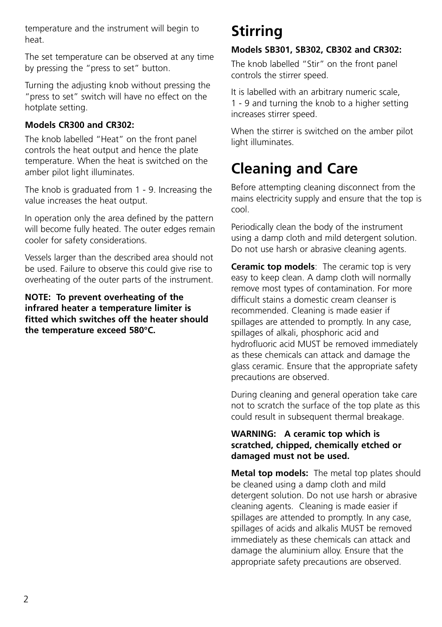temperature and the instrument will begin to heat.

The set temperature can be observed at any time by pressing the "press to set" button.

Turning the adjusting knob without pressing the "press to set" switch will have no effect on the hotplate setting.

### **Models CR300 and CR302:**

The knob labelled "Heat" on the front panel controls the heat output and hence the plate temperature. When the heat is switched on the amber pilot light illuminates.

The knob is graduated from 1 - 9. Increasing the value increases the heat output.

In operation only the area defined by the pattern will become fully heated. The outer edges remain cooler for safety considerations.

Vessels larger than the described area should not be used. Failure to observe this could give rise to overheating of the outer parts of the instrument.

**NOTE: To prevent overheating of the infrared heater a temperature limiter is fitted which switches off the heater should the temperature exceed 580°C.**

# **Stirring**

### **Models SB301, SB302, CB302 and CR302:**

The knob labelled "Stir" on the front panel controls the stirrer speed.

It is labelled with an arbitrary numeric scale, 1 - 9 and turning the knob to a higher setting increases stirrer speed.

When the stirrer is switched on the amber pilot light illuminates.

### **Cleaning and Care**

Before attempting cleaning disconnect from the mains electricity supply and ensure that the top is cool.

Periodically clean the body of the instrument using a damp cloth and mild detergent solution. Do not use harsh or abrasive cleaning agents.

**Ceramic top models**: The ceramic top is very easy to keep clean. A damp cloth will normally remove most types of contamination. For more difficult stains a domestic cream cleanser is recommended. Cleaning is made easier if spillages are attended to promptly. In any case, spillages of alkali, phosphoric acid and hydrofluoric acid MUST be removed immediately as these chemicals can attack and damage the glass ceramic. Ensure that the appropriate safety precautions are observed.

During cleaning and general operation take care not to scratch the surface of the top plate as this could result in subsequent thermal breakage.

#### **WARNING: A ceramic top which is scratched, chipped, chemically etched or damaged must not be used.**

**Metal top models:** The metal top plates should be cleaned using a damp cloth and mild detergent solution. Do not use harsh or abrasive cleaning agents. Cleaning is made easier if spillages are attended to promptly. In any case, spillages of acids and alkalis MUST be removed immediately as these chemicals can attack and damage the aluminium alloy. Ensure that the appropriate safety precautions are observed.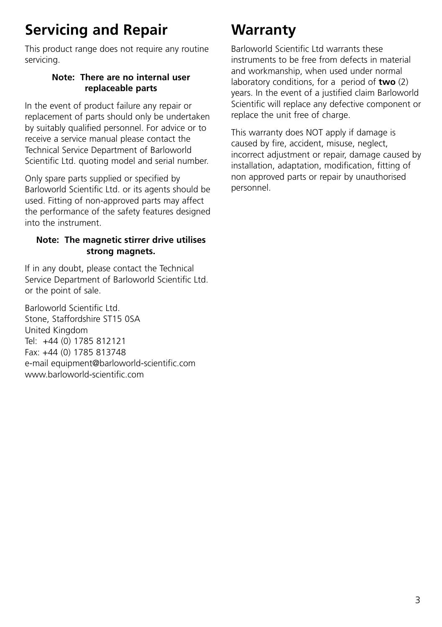# **Servicing and Repair**

This product range does not require any routine servicing.

### **Note: There are no internal user replaceable parts**

In the event of product failure any repair or replacement of parts should only be undertaken by suitably qualified personnel. For advice or to receive a service manual please contact the Technical Service Department of Barloworld Scientific Ltd. quoting model and serial number.

Only spare parts supplied or specified by Barloworld Scientific Ltd. or its agents should be used. Fitting of non-approved parts may affect the performance of the safety features designed into the instrument.

### **Note: The magnetic stirrer drive utilises strong magnets.**

If in any doubt, please contact the Technical Service Department of Barloworld Scientific Ltd. or the point of sale.

Barloworld Scientific Ltd. Stone, Staffordshire ST15 0SA United Kingdom Tel: +44 (0) 1785 812121 Fax: +44 (0) 1785 813748 e-mail equipment@barloworld-scientific.com www.barloworld-scientific.com

# **Warranty**

Barloworld Scientific Ltd warrants these instruments to be free from defects in material and workmanship, when used under normal laboratory conditions, for a period of **two** (2) years. In the event of a justified claim Barloworld Scientific will replace any defective component or replace the unit free of charge.

This warranty does NOT apply if damage is caused by fire, accident, misuse, neglect, incorrect adjustment or repair, damage caused by installation, adaptation, modification, fitting of non approved parts or repair by unauthorised personnel.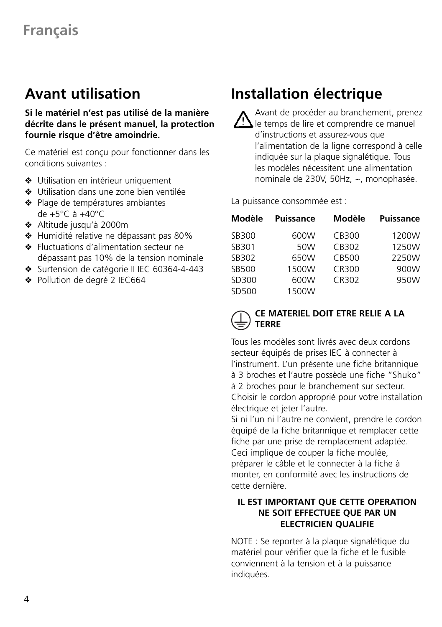### **Avant utilisation**

**Si le matériel n'est pas utilisé de la manière décrite dans le présent manuel, la protection fournie risque d'être amoindrie.**

Ce matériel est conçu pour fonctionner dans les conditions suivantes :

- ❖ Utilisation en intérieur uniquement
- ❖ Utilisation dans une zone bien ventilée
- ❖ Plage de températures ambiantes de +5°C à +40°C
- ❖ Altitude jusqu'à 2000m
- ❖ Humidité relative ne dépassant pas 80%
- ❖ Fluctuations d'alimentation secteur ne dépassant pas 10% de la tension nominale
- ❖ Surtension de catégorie II IEC 60364-4-443
- ❖ Pollution de degré 2 IEC664

# **Installation électrique**

Avant de procéder au branchement, prenez le temps de lire et comprendre ce manuel d'instructions et assurez-vous que l'alimentation de la ligne correspond à celle indiquée sur la plaque signalétique. Tous les modèles nécessitent une alimentation nominale de 230V, 50Hz, ~, monophasée.

La puissance consommée est :

| Modèle | <b>Puissance</b> | Modèle | <b>Puissance</b> |
|--------|------------------|--------|------------------|
| SB300  | 600W             | CB300  | 1200W            |
| SB301  | 50W              | CB302  | 1250W            |
| SB302  | 650W             | CB500  | 2250W            |
| SB500  | 1500W            | CR300  | 900W             |
| SD300  | 600W             | CR302  | 950W             |
| SD500  | 1500W            |        |                  |

### **CE MATERIEL DOIT ETRE RELIE A LA TERRE**

Tous les modèles sont livrés avec deux cordons secteur équipés de prises IEC à connecter à l'instrument. L'un présente une fiche britannique à 3 broches et l'autre possède une fiche "Shuko" à 2 broches pour le branchement sur secteur. Choisir le cordon approprié pour votre installation électrique et jeter l'autre.

Si ni l'un ni l'autre ne convient, prendre le cordon équipé de la fiche britannique et remplacer cette fiche par une prise de remplacement adaptée. Ceci implique de couper la fiche moulée, préparer le câble et le connecter à la fiche à monter, en conformité avec les instructions de cette dernière.

### **IL EST IMPORTANT QUE CETTE OPERATION NE SOIT EFFECTUEE QUE PAR UN ELECTRICIEN QUALIFIE**

NOTE : Se reporter à la plaque signalétique du matériel pour vérifier que la fiche et le fusible conviennent à la tension et à la puissance indiquées.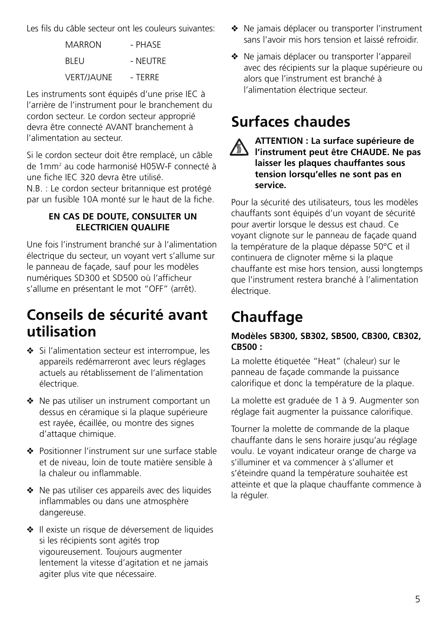Les fils du câble secteur ont les couleurs suivantes:

| MARRON            | - PHASE  |
|-------------------|----------|
| BI FU             | - NFUTRF |
| <b>VERT/JAUNE</b> | - TFRRF  |

Les instruments sont équipés d'une prise IEC à l'arrière de l'instrument pour le branchement du cordon secteur. Le cordon secteur approprié devra être connecté AVANT branchement à l'alimentation au secteur.

Si le cordon secteur doit être remplacé, un câble de 1mm2 au code harmonisé H05W-F connecté à une fiche IEC 320 devra être utilisé.

N.B. : Le cordon secteur britannique est protégé par un fusible 10A monté sur le haut de la fiche.

### **EN CAS DE DOUTE, CONSULTER UN ELECTRICIEN QUALIFIE**

Une fois l'instrument branché sur à l'alimentation électrique du secteur, un voyant vert s'allume sur le panneau de façade, sauf pour les modèles numériques SD300 et SD500 où l'afficheur s'allume en présentant le mot "OFF" (arrêt).

### **Conseils de sécurité avant utilisation**

- ❖ Si l'alimentation secteur est interrompue, les appareils redémarreront avec leurs réglages actuels au rétablissement de l'alimentation électrique.
- ❖ Ne pas utiliser un instrument comportant un dessus en céramique si la plaque supérieure est rayée, écaillée, ou montre des signes d'attaque chimique.
- ❖ Positionner l'instrument sur une surface stable et de niveau, loin de toute matière sensible à la chaleur ou inflammable.
- ❖ Ne pas utiliser ces appareils avec des liquides inflammables ou dans une atmosphère dangereuse.
- ❖ Il existe un risque de déversement de liquides si les récipients sont agités trop vigoureusement. Toujours augmenter lentement la vitesse d'agitation et ne jamais agiter plus vite que nécessaire.
- ❖ Ne jamais déplacer ou transporter l'instrument sans l'avoir mis hors tension et laissé refroidir.
- ❖ Ne jamais déplacer ou transporter l'appareil avec des récipients sur la plaque supérieure ou alors que l'instrument est branché à l'alimentation électrique secteur.

# **Surfaces chaudes**



### **ATTENTION : La surface supérieure de** *la milliviion : La survent pressure.*<br>**Al l'instrument peut être CHAUDE. Ne pas laisser les plaques chauffantes sous tension lorsqu'elles ne sont pas en service.**

Pour la sécurité des utilisateurs, tous les modèles chauffants sont équipés d'un voyant de sécurité pour avertir lorsque le dessus est chaud. Ce voyant clignote sur le panneau de façade quand la température de la plaque dépasse 50°C et il continuera de clignoter même si la plaque chauffante est mise hors tension, aussi longtemps que l'instrument restera branché à l'alimentation électrique.

# **Chauffage**

### **Modèles SB300, SB302, SB500, CB300, CB302, CB500 :**

La molette étiquetée "Heat" (chaleur) sur le panneau de façade commande la puissance calorifique et donc la température de la plaque.

La molette est graduée de 1 à 9. Augmenter son réglage fait augmenter la puissance calorifique.

Tourner la molette de commande de la plaque chauffante dans le sens horaire jusqu'au réglage voulu. Le voyant indicateur orange de charge va s'illuminer et va commencer à s'allumer et s'éteindre quand la température souhaitée est atteinte et que la plaque chauffante commence à la réguler.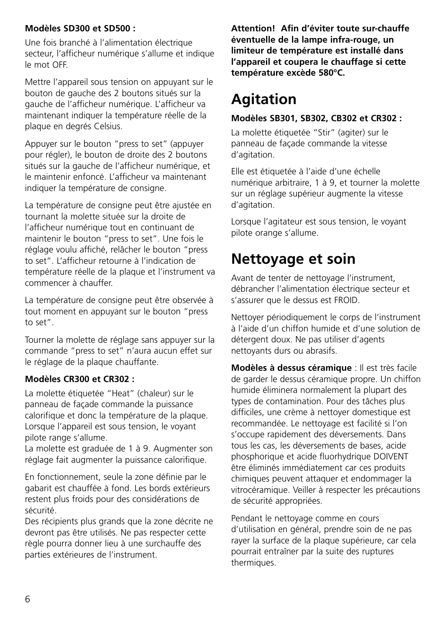### **Modèles SD300 et SD500 :**

Une fois branché à l'alimentation électrique secteur, l'afficheur numérique s'allume et indique le mot OFF.

Mettre l'appareil sous tension on appuyant sur le bouton de gauche des 2 boutons situés sur la gauche de l'afficheur numérique. L'afficheur va maintenant indiquer la température réelle de la plaque en degrés Celsius.

Appuyer sur le bouton "press to set" (appuyer pour régler), le bouton de droite des 2 boutons situés sur la gauche de l'afficheur numérique, et le maintenir enfoncé. L'afficheur va maintenant indiquer la température de consigne.

La température de consigne peut être ajustée en tournant la molette située sur la droite de l'afficheur numérique tout en continuant de maintenir le bouton "press to set". Une fois le réglage voulu affiché, relâcher le bouton "press to set". L'afficheur retourne à l'indication de température réelle de la plaque et l'instrument va commencer à chauffer.

La température de consigne peut être observée à tout moment en appuyant sur le bouton "press to set".

Tourner la molette de réglage sans appuyer sur la commande "press to set" n'aura aucun effet sur le réglage de la plaque chauffante.

### **Modèles CR300 et CR302 :**

La molette étiquetée "Heat" (chaleur) sur le panneau de façade commande la puissance calorifique et donc la température de la plaque. Lorsque l'appareil est sous tension, le voyant pilote range s'allume.

La molette est graduée de 1 à 9. Augmenter son réglage fait augmenter la puissance calorifique.

En fonctionnement, seule la zone définie par le gabarit est chauffée à fond. Les bords extérieurs restent plus froids pour des considérations de sécurité.

Des récipients plus grands que la zone décrite ne devront pas être utilisés. Ne pas respecter cette règle pourra donner lieu à une surchauffe des parties extérieures de l'instrument.

**Attention! Afin d'éviter toute sur-chauffe éventuelle de la lampe infra-rouge, un limiteur de température est installé dans l'appareil et coupera le chauffage si cette température excède 580°C.**

# **Agitation**

#### **Modèles SB301, SB302, CB302 et CR302 :**

La molette étiquetée "Stir" (agiter) sur le panneau de façade commande la vitesse d'agitation.

Elle est étiquetée à l'aide d'une échelle numérique arbitraire, 1 à 9, et tourner la molette sur un réglage supérieur augmente la vitesse d'agitation.

Lorsque l'agitateur est sous tension, le voyant pilote orange s'allume.

### **Nettoyage et soin**

Avant de tenter de nettoyage l'instrument, débrancher l'alimentation électrique secteur et s'assurer que le dessus est FROID.

Nettoyer périodiquement le corps de l'instrument à l'aide d'un chiffon humide et d'une solution de détergent doux. Ne pas utiliser d'agents nettoyants durs ou abrasifs.

**Modèles à dessus céramique** : Il est très facile de garder le dessus céramique propre. Un chiffon humide éliminera normalement la plupart des types de contamination. Pour des tâches plus difficiles, une crème à nettoyer domestique est recommandée. Le nettoyage est facilité si l'on s'occupe rapidement des déversements. Dans tous les cas, les déversements de bases, acide phosphorique et acide fluorhydrique DOIVENT être éliminés immédiatement car ces produits chimiques peuvent attaquer et endommager la vitrocéramique. Veiller à respecter les précautions de sécurité appropriées.

Pendant le nettoyage comme en cours d'utilisation en général, prendre soin de ne pas rayer la surface de la plaque supérieure, car cela pourrait entraîner par la suite des ruptures thermiques.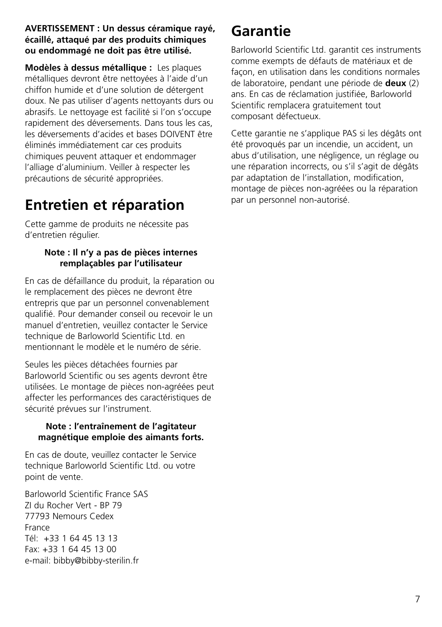#### **AVERTISSEMENT : Un dessus céramique rayé, écaillé, attaqué par des produits chimiques ou endommagé ne doit pas être utilisé.**

**Modèles à dessus métallique :** Les plaques métalliques devront être nettoyées à l'aide d'un chiffon humide et d'une solution de détergent doux. Ne pas utiliser d'agents nettoyants durs ou abrasifs. Le nettoyage est facilité si l'on s'occupe rapidement des déversements. Dans tous les cas, les déversements d'acides et bases DOIVENT être éliminés immédiatement car ces produits chimiques peuvent attaquer et endommager l'alliage d'aluminium. Veiller à respecter les précautions de sécurité appropriées.

### **Entretien et réparation**

Cette gamme de produits ne nécessite pas d'entretien régulier.

### **Note : Il n'y a pas de pièces internes remplaçables par l'utilisateur**

En cas de défaillance du produit, la réparation ou le remplacement des pièces ne devront être entrepris que par un personnel convenablement qualifié. Pour demander conseil ou recevoir le un manuel d'entretien, veuillez contacter le Service technique de Barloworld Scientific Ltd. en mentionnant le modèle et le numéro de série.

Seules les pièces détachées fournies par Barloworld Scientific ou ses agents devront être utilisées. Le montage de pièces non-agréées peut affecter les performances des caractéristiques de sécurité prévues sur l'instrument.

### **Note : l'entraînement de l'agitateur magnétique emploie des aimants forts.**

En cas de doute, veuillez contacter le Service technique Barloworld Scientific Ltd. ou votre point de vente.

Barloworld Scientific France SAS ZI du Rocher Vert - BP 79 77793 Nemours Cedex France Tél: +33 1 64 45 13 13 Fax: +33 1 64 45 13 00 e-mail: bibby@bibby-sterilin.fr

### **Garantie**

Barloworld Scientific Ltd. garantit ces instruments comme exempts de défauts de matériaux et de façon, en utilisation dans les conditions normales de laboratoire, pendant une période de **deux** (2) ans. En cas de réclamation justifiée, Barloworld Scientific remplacera gratuitement tout composant défectueux.

Cette garantie ne s'applique PAS si les dégâts ont été provoqués par un incendie, un accident, un abus d'utilisation, une négligence, un réglage ou une réparation incorrects, ou s'il s'agit de dégâts par adaptation de l'installation, modification, montage de pièces non-agréées ou la réparation par un personnel non-autorisé.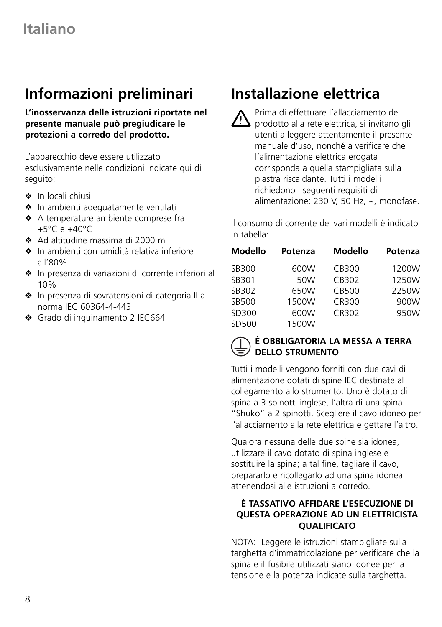# **Informazioni preliminari**

**L'inosservanza delle istruzioni riportate nel presente manuale può pregiudicare le protezioni a corredo del prodotto.**

L'apparecchio deve essere utilizzato esclusivamente nelle condizioni indicate qui di seguito:

- ❖ In locali chiusi
- ❖ In ambienti adeguatamente ventilati
- ❖ A temperature ambiente comprese fra  $+5^{\circ}$ C e  $+40^{\circ}$ C
- ❖ Ad altitudine massima di 2000 m
- ❖ In ambienti con umidità relativa inferiore all'80%
- ❖ In presenza di variazioni di corrente inferiori al 10%
- ❖ In presenza di sovratensioni di categoria II a norma IEC 60364-4-443
- ❖ Grado di inquinamento 2 IEC664

# **Installazione elettrica**

Prima di effettuare l'allacciamento del prodotto alla rete elettrica, si invitano gli utenti a leggere attentamente il presente manuale d'uso, nonché a verificare che l'alimentazione elettrica erogata corrisponda a quella stampigliata sulla piastra riscaldante. Tutti i modelli richiedono i seguenti requisiti di alimentazione: 230 V, 50 Hz, ~, monofase.

Il consumo di corrente dei vari modelli è indicato in tabella:

| Modello | Potenza | Modello | Potenza |
|---------|---------|---------|---------|
| SB300   | 600W    | CB300   | 1200W   |
| SB301   | 50W     | CB302   | 1250W   |
| SB302   | 650W    | CB500   | 2250W   |
| SB500   | 1500W   | CR300   | 900W    |
| SD300   | 600W    | CR302   | 950W    |
| SD500   | 1500W   |         |         |

### **È OBBLIGATORIA LA MESSA A TERRA DELLO STRUMENTO**

Tutti i modelli vengono forniti con due cavi di alimentazione dotati di spine IEC destinate al collegamento allo strumento. Uno è dotato di spina a 3 spinotti inglese, l'altra di una spina "Shuko" a 2 spinotti. Scegliere il cavo idoneo per l'allacciamento alla rete elettrica e gettare l'altro.

Qualora nessuna delle due spine sia idonea, utilizzare il cavo dotato di spina inglese e sostituire la spina; a tal fine, tagliare il cavo, prepararlo e ricollegarlo ad una spina idonea attenendosi alle istruzioni a corredo.

### **È TASSATIVO AFFIDARE L'ESECUZIONE DI QUESTA OPERAZIONE AD UN ELETTRICISTA QUALIFICATO**

NOTA: Leggere le istruzioni stampigliate sulla targhetta d'immatricolazione per verificare che la spina e il fusibile utilizzati siano idonee per la tensione e la potenza indicate sulla targhetta.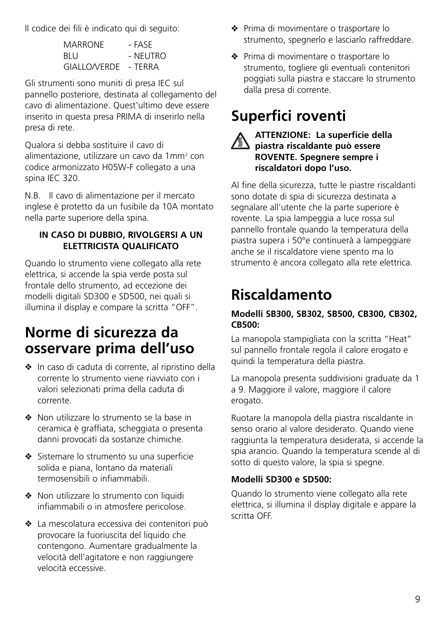Il codice dei fili è indicato qui di seguito:

| <b>MARRONE</b>      | - FASF   |
|---------------------|----------|
| BLU                 | - NFUTRO |
| <b>GIALLO/VERDE</b> | - TFRRA  |

Gli strumenti sono muniti di presa IEC sul pannello posteriore, destinata al collegamento del cavo di alimentazione. Quest'ultimo deve essere inserito in questa presa PRIMA di inserirlo nella presa di rete.

Qualora si debba sostituire il cavo di alimentazione, utilizzare un cavo da 1mm<sup>2</sup> con codice armonizzato H05W-F collegato a una spina IEC 320.

N.B. Il cavo di alimentazione per il mercato inglese è protetto da un fusibile da 10A montato nella parte superiore della spina.

### **IN CASO DI DUBBIO, RIVOLGERSI A UN ELETTRICISTA QUALIFICATO**

Quando lo strumento viene collegato alla rete elettrica, si accende la spia verde posta sul frontale dello strumento, ad eccezione dei modelli digitali SD300 e SD500, nei quali si illumina il display e compare la scritta "OFF".

### **Norme di sicurezza da osservare prima dell'uso**

- ❖ In caso di caduta di corrente, al ripristino della corrente lo strumento viene riavviato con i valori selezionati prima della caduta di corrente.
- ❖ Non utilizzare lo strumento se la base in ceramica è graffiata, scheggiata o presenta danni provocati da sostanze chimiche.
- ❖ Sistemare lo strumento su una superficie solida e piana, lontano da materiali termosensibili o infiammabili.
- ❖ Non utilizzare lo strumento con liquidi infiammabili o in atmosfere pericolose.
- ❖ La mescolatura eccessiva dei contenitori può provocare la fuoriuscita del liquido che contengono. Aumentare gradualmente la velocità dell'agitatore e non raggiungere velocità eccessive.
- ❖ Prima di movimentare o trasportare lo strumento, spegnerlo e lasciarlo raffreddare.
- ❖ Prima di movimentare o trasportare lo strumento, togliere gli eventuali contenitori poggiati sulla piastra e staccare lo strumento dalla presa di corrente.

# **Superfici roventi**



#### **ATTENZIONE: La superficie della piastra riscaldante può essere ROVENTE. Spegnere sempre i riscaldatori dopo l'uso.**

Al fine della sicurezza, tutte le piastre riscaldanti sono dotate di spia di sicurezza destinata a segnalare all'utente che la parte superiore è rovente. La spia lampeggia a luce rossa sul pannello frontale quando la temperatura della piastra supera i 50°e continuerà a lampeggiare anche se il riscaldatore viene spento ma lo strumento è ancora collegato alla rete elettrica.

# **Riscaldamento**

### **Modelli SB300, SB302, SB500, CB300, CB302, CB500:**

La manopola stampigliata con la scritta "Heat" sul pannello frontale regola il calore erogato e quindi la temperatura della piastra.

La manopola presenta suddivisioni graduate da 1 a 9. Maggiore il valore, maggiore il calore erogato.

Ruotare la manopola della piastra riscaldante in senso orario al valore desiderato. Quando viene raggiunta la temperatura desiderata, si accende la spia arancio. Quando la temperatura scende al di sotto di questo valore, la spia si spegne.

### **Modelli SD300 e SD500:**

Quando lo strumento viene collegato alla rete elettrica, si illumina il display digitale e appare la scritta OFF.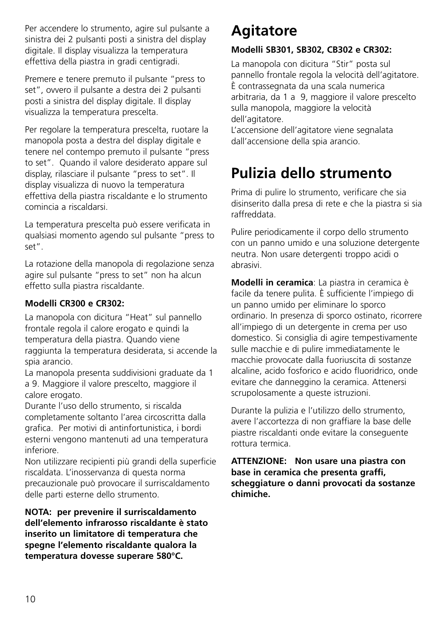Per accendere lo strumento, agire sul pulsante a sinistra dei 2 pulsanti posti a sinistra del display digitale. Il display visualizza la temperatura effettiva della piastra in gradi centigradi.

Premere e tenere premuto il pulsante "press to set", ovvero il pulsante a destra dei 2 pulsanti posti a sinistra del display digitale. Il display visualizza la temperatura prescelta.

Per regolare la temperatura prescelta, ruotare la manopola posta a destra del display digitale e tenere nel contempo premuto il pulsante "press to set". Quando il valore desiderato appare sul display, rilasciare il pulsante "press to set". Il display visualizza di nuovo la temperatura effettiva della piastra riscaldante e lo strumento comincia a riscaldarsi.

La temperatura prescelta può essere verificata in qualsiasi momento agendo sul pulsante "press to set".

La rotazione della manopola di regolazione senza agire sul pulsante "press to set" non ha alcun effetto sulla piastra riscaldante.

### **Modelli CR300 e CR302:**

La manopola con dicitura "Heat" sul pannello frontale regola il calore erogato e quindi la temperatura della piastra. Quando viene raggiunta la temperatura desiderata, si accende la spia arancio.

La manopola presenta suddivisioni graduate da 1 a 9. Maggiore il valore prescelto, maggiore il calore erogato.

Durante l'uso dello strumento, si riscalda completamente soltanto l'area circoscritta dalla grafica. Per motivi di antinfortunistica, i bordi esterni vengono mantenuti ad una temperatura inferiore.

Non utilizzare recipienti più grandi della superficie riscaldata. L'inosservanza di questa norma precauzionale può provocare il surriscaldamento delle parti esterne dello strumento.

**NOTA: per prevenire il surriscaldamento dell'elemento infrarosso riscaldante è stato inserito un limitatore di temperatura che spegne l'elemento riscaldante qualora la temperatura dovesse superare 580°C.**

# **Agitatore**

### **Modelli SB301, SB302, CB302 e CR302:**

La manopola con dicitura "Stir" posta sul pannello frontale regola la velocità dell'agitatore. È contrassegnata da una scala numerica arbitraria, da 1 a 9, maggiore il valore prescelto sulla manopola, maggiore la velocità dell'agitatore.

L'accensione dell'agitatore viene segnalata dall'accensione della spia arancio.

# **Pulizia dello strumento**

Prima di pulire lo strumento, verificare che sia disinserito dalla presa di rete e che la piastra si sia raffreddata.

Pulire periodicamente il corpo dello strumento con un panno umido e una soluzione detergente neutra. Non usare detergenti troppo acidi o abrasivi.

**Modelli in ceramica**: La piastra in ceramica è facile da tenere pulita. È sufficiente l'impiego di un panno umido per eliminare lo sporco ordinario. In presenza di sporco ostinato, ricorrere all'impiego di un detergente in crema per uso domestico. Si consiglia di agire tempestivamente sulle macchie e di pulire immediatamente le macchie provocate dalla fuoriuscita di sostanze alcaline, acido fosforico e acido fluoridrico, onde evitare che danneggino la ceramica. Attenersi scrupolosamente a queste istruzioni.

Durante la pulizia e l'utilizzo dello strumento, avere l'accortezza di non graffiare la base delle piastre riscaldanti onde evitare la conseguente rottura termica.

**ATTENZIONE: Non usare una piastra con base in ceramica che presenta graffi, scheggiature o danni provocati da sostanze chimiche.**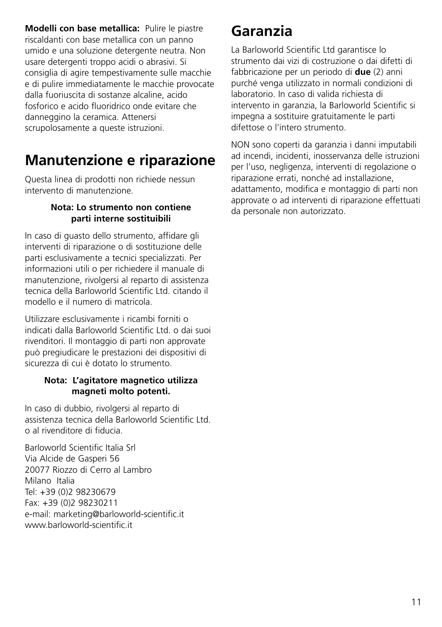**Modelli con base metallica:** Pulire le piastre riscaldanti con base metallica con un panno umido e una soluzione detergente neutra. Non usare detergenti troppo acidi o abrasivi. Si consiglia di agire tempestivamente sulle macchie e di pulire immediatamente le macchie provocate dalla fuoriuscita di sostanze alcaline, acido fosforico e acido fluoridrico onde evitare che danneggino la ceramica. Attenersi scrupolosamente a queste istruzioni.

### **Manutenzione e riparazione**

Questa linea di prodotti non richiede nessun intervento di manutenzione.

#### **Nota: Lo strumento non contiene parti interne sostituibili**

In caso di guasto dello strumento, affidare gli interventi di riparazione o di sostituzione delle parti esclusivamente a tecnici specializzati. Per informazioni utili o per richiedere il manuale di manutenzione, rivolgersi al reparto di assistenza tecnica della Barloworld Scientific Ltd. citando il modello e il numero di matricola.

Utilizzare esclusivamente i ricambi forniti o indicati dalla Barloworld Scientific Ltd. o dai suoi rivenditori. Il montaggio di parti non approvate può pregiudicare le prestazioni dei dispositivi di sicurezza di cui è dotato lo strumento.

#### **Nota: L'agitatore magnetico utilizza magneti molto potenti.**

In caso di dubbio, rivolgersi al reparto di assistenza tecnica della Barloworld Scientific Ltd. o al rivenditore di fiducia.

Barloworld Scientific Italia Srl Via Alcide de Gasperi 56 20077 Riozzo di Cerro al Lambro Milano Italia Tel: +39 (0)2 98230679 Fax: +39 (0)2 98230211 e-mail: marketing@barloworld-scientific.it www.barloworld-scientific.it

### **Garanzia**

La Barloworld Scientific Ltd garantisce lo strumento dai vizi di costruzione o dai difetti di fabbricazione per un periodo di **due** (2) anni purché venga utilizzato in normali condizioni di laboratorio. In caso di valida richiesta di intervento in garanzia, la Barloworld Scientific si impegna a sostituire gratuitamente le parti difettose o l'intero strumento.

NON sono coperti da garanzia i danni imputabili ad incendi, incidenti, inosservanza delle istruzioni per l'uso, negligenza, interventi di regolazione o riparazione errati, nonché ad installazione, adattamento, modifica e montaggio di parti non approvate o ad interventi di riparazione effettuati da personale non autorizzato.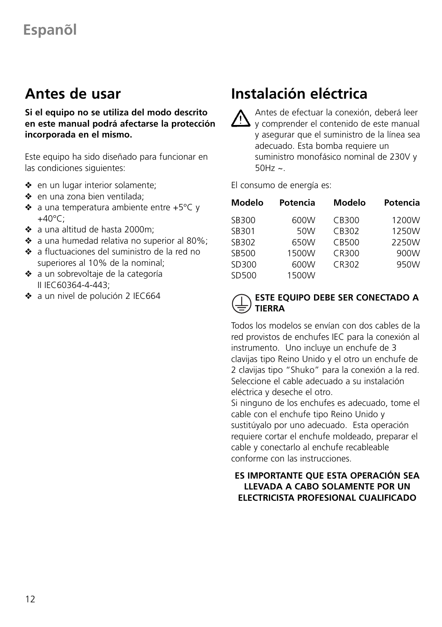### **Antes de usar**

**Si el equipo no se utiliza del modo descrito en este manual podrá afectarse la protección incorporada en el mismo.**

Este equipo ha sido diseñado para funcionar en las condiciones siguientes:

- ❖ en un lugar interior solamente;
- ❖ en una zona bien ventilada;
- ❖ a una temperatura ambiente entre +5°C y  $+40^{\circ}$ C:
- ❖ a una altitud de hasta 2000m;
- ❖ a una humedad relativa no superior al 80%;
- ❖ a fluctuaciones del suministro de la red no superiores al 10% de la nominal;
- ❖ a un sobrevoltaje de la categoría II IEC60364-4-443;
- ❖ a un nivel de polución 2 IEC664

# **Instalación eléctrica**

Antes de efectuar la conexión, deberá leer y comprender el contenido de este manual y asegurar que el suministro de la línea sea adecuado. Esta bomba requiere un suministro monofásico nominal de 230V y  $50$ Hz ~.

El consumo de energía es:

| Modelo | Potencia | Modelo | Potencia |
|--------|----------|--------|----------|
| SB300  | 600W     | CB300  | 1200W    |
| SB301  | 50W      | CB302  | 1250W    |
| SB302  | 650W     | CB500  | 2250W    |
| SB500  | 1500W    | CR300  | 900W     |
| SD300  | 600W     | CR302  | 950W     |
| SD500  | 1500W    |        |          |

### **ESTE EQUIPO DEBE SER CONECTADO A TIERRA**

Todos los modelos se envían con dos cables de la red provistos de enchufes IEC para la conexión al instrumento. Uno incluye un enchufe de 3 clavijas tipo Reino Unido y el otro un enchufe de 2 clavijas tipo "Shuko" para la conexión a la red. Seleccione el cable adecuado a su instalación eléctrica y deseche el otro.

Si ninguno de los enchufes es adecuado, tome el cable con el enchufe tipo Reino Unido y sustitúyalo por uno adecuado. Esta operación requiere cortar el enchufe moldeado, preparar el cable y conectarlo al enchufe recableable conforme con las instrucciones.

### **ES IMPORTANTE QUE ESTA OPERACIÓN SEA LLEVADA A CABO SOLAMENTE POR UN ELECTRICISTA PROFESIONAL CUALIFICADO**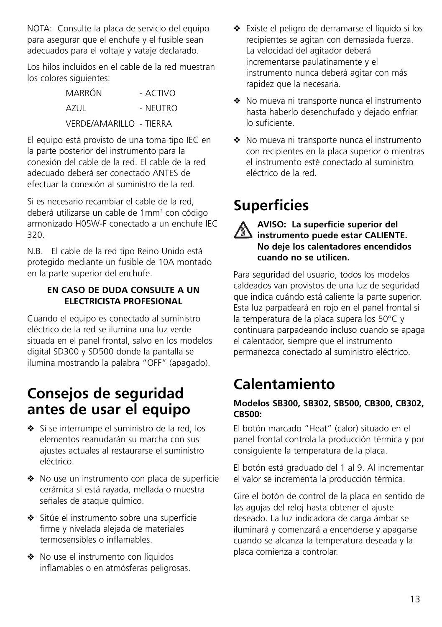NOTA: Consulte la placa de servicio del equipo para asegurar que el enchufe y el fusible sean adecuados para el voltaje y vataje declarado.

Los hilos incluidos en el cable de la red muestran los colores siguientes:

> MARRÓN - ACTIVO  $\Delta$ 7LII - NELITRO VERDE/AMARILLO - TIERRA

El equipo está provisto de una toma tipo IEC en la parte posterior del instrumento para la conexión del cable de la red. El cable de la red adecuado deberá ser conectado ANTES de efectuar la conexión al suministro de la red.

Si es necesario recambiar el cable de la red, deberá utilizarse un cable de 1mm2 con código armonizado H05W-F conectado a un enchufe IEC 320.

N.B. El cable de la red tipo Reino Unido está protegido mediante un fusible de 10A montado en la parte superior del enchufe.

### **EN CASO DE DUDA CONSULTE A UN ELECTRICISTA PROFESIONAL**

Cuando el equipo es conectado al suministro eléctrico de la red se ilumina una luz verde situada en el panel frontal, salvo en los modelos digital SD300 y SD500 donde la pantalla se ilumina mostrando la palabra "OFF" (apagado).

### **Consejos de seguridad antes de usar el equipo**

- ❖ Si se interrumpe el suministro de la red, los elementos reanudarán su marcha con sus ajustes actuales al restaurarse el suministro eléctrico.
- ❖ No use un instrumento con placa de superficie cerámica si está rayada, mellada o muestra señales de ataque químico.
- ❖ Sitúe el instrumento sobre una superficie firme y nivelada alejada de materiales termosensibles o inflamables.
- ❖ No use el instrumento con líquidos inflamables o en atmósferas peligrosas.
- ❖ Existe el peligro de derramarse el líquido si los recipientes se agitan con demasiada fuerza. La velocidad del agitador deberá incrementarse paulatinamente y el instrumento nunca deberá agitar con más rapidez que la necesaria.
- ❖ No mueva ni transporte nunca el instrumento hasta haberlo desenchufado y dejado enfriar lo suficiente.
- ❖ No mueva ni transporte nunca el instrumento con recipientes en la placa superior o mientras el instrumento esté conectado al suministro eléctrico de la red.

# **Superficies**

**AVISO: La superficie superior del instrumento puede estar CALIENTE. No deje los calentadores encendidos cuando no se utilicen.**

Para seguridad del usuario, todos los modelos caldeados van provistos de una luz de seguridad que indica cuándo está caliente la parte superior. Esta luz parpadeará en rojo en el panel frontal si la temperatura de la placa supera los 50°C y continuara parpadeando incluso cuando se apaga el calentador, siempre que el instrumento permanezca conectado al suministro eléctrico.

# **Calentamiento**

### **Modelos SB300, SB302, SB500, CB300, CB302, CB500:**

El botón marcado "Heat" (calor) situado en el panel frontal controla la producción térmica y por consiguiente la temperatura de la placa.

El botón está graduado del 1 al 9. Al incrementar el valor se incrementa la producción térmica.

Gire el botón de control de la placa en sentido de las agujas del reloj hasta obtener el ajuste deseado. La luz indicadora de carga ámbar se iluminará y comenzará a encenderse y apagarse cuando se alcanza la temperatura deseada y la placa comienza a controlar.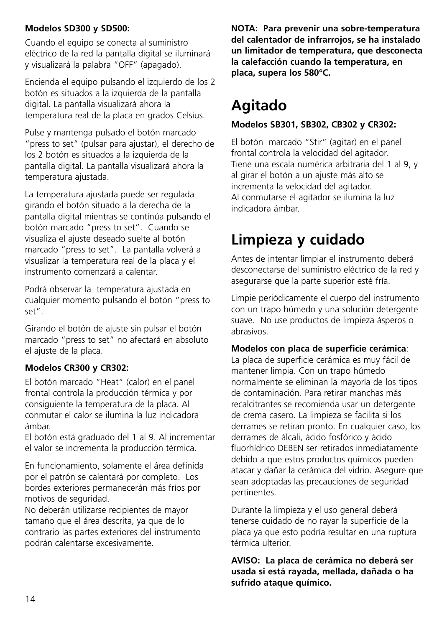### **Modelos SD300 y SD500:**

Cuando el equipo se conecta al suministro eléctrico de la red la pantalla digital se iluminará y visualizará la palabra "OFF" (apagado).

Encienda el equipo pulsando el izquierdo de los 2 botón es situados a la izquierda de la pantalla digital. La pantalla visualizará ahora la temperatura real de la placa en grados Celsius.

Pulse y mantenga pulsado el botón marcado "press to set" (pulsar para ajustar), el derecho de los 2 botón es situados a la izquierda de la pantalla digital. La pantalla visualizará ahora la temperatura ajustada.

La temperatura ajustada puede ser regulada girando el botón situado a la derecha de la pantalla digital mientras se continúa pulsando el botón marcado "press to set". Cuando se visualiza el ajuste deseado suelte al botón marcado "press to set". La pantalla volverá a visualizar la temperatura real de la placa y el instrumento comenzará a calentar.

Podrá observar la temperatura ajustada en cualquier momento pulsando el botón "press to set".

Girando el botón de ajuste sin pulsar el botón marcado "press to set" no afectará en absoluto el ajuste de la placa.

### **Modelos CR300 y CR302:**

El botón marcado "Heat" (calor) en el panel frontal controla la producción térmica y por consiguiente la temperatura de la placa. Al conmutar el calor se ilumina la luz indicadora ámbar.

El botón está graduado del 1 al 9. Al incrementar el valor se incrementa la producción térmica.

En funcionamiento, solamente el área definida por el patrón se calentará por completo. Los bordes exteriores permanecerán más fríos por motivos de seguridad.

No deberán utilizarse recipientes de mayor tamaño que el área descrita, ya que de lo contrario las partes exteriores del instrumento podrán calentarse excesivamente.

**NOTA: Para prevenir una sobre-temperatura del calentador de infrarrojos, se ha instalado un limitador de temperatura, que desconecta la calefacción cuando la temperatura, en placa, supera los 580°C.**

# **Agitado**

### **Modelos SB301, SB302, CB302 y CR302:**

El botón marcado "Stir" (agitar) en el panel frontal controla la velocidad del agitador. Tiene una escala numérica arbitraria del 1 al 9, y al girar el botón a un ajuste más alto se incrementa la velocidad del agitador. Al conmutarse el agitador se ilumina la luz indicadora ámbar.

# **Limpieza y cuidado**

Antes de intentar limpiar el instrumento deberá desconectarse del suministro eléctrico de la red y asegurarse que la parte superior esté fría.

Limpie periódicamente el cuerpo del instrumento con un trapo húmedo y una solución detergente suave. No use productos de limpieza ásperos o abrasivos.

#### **Modelos con placa de superficie cerámica**:

La placa de superficie cerámica es muy fácil de mantener limpia. Con un trapo húmedo normalmente se eliminan la mayoría de los tipos de contaminación. Para retirar manchas más recalcitrantes se recomienda usar un detergente de crema casero. La limpieza se facilita si los derrames se retiran pronto. En cualquier caso, los derrames de álcali, ácido fosfórico y ácido fluorhídrico DEBEN ser retirados inmediatamente debido a que estos productos químicos pueden atacar y dañar la cerámica del vidrio. Asegure que sean adoptadas las precauciones de seguridad pertinentes.

Durante la limpieza y el uso general deberá tenerse cuidado de no rayar la superficie de la placa ya que esto podría resultar en una ruptura térmica ulterior.

**AVISO: La placa de cerámica no deberá ser usada si está rayada, mellada, dañada o ha sufrido ataque químico.**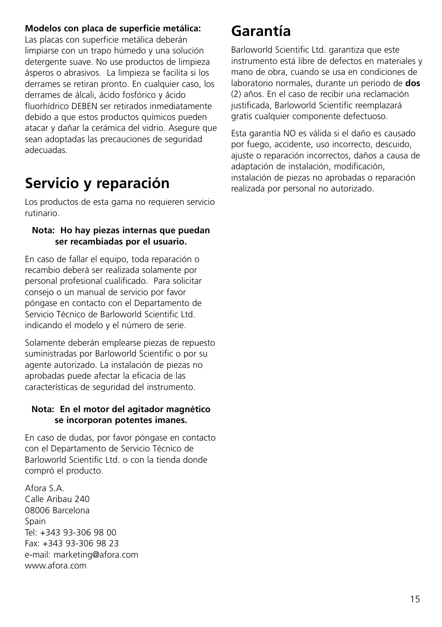### **Modelos con placa de superficie metálica:**

Las placas con superficie metálica deberán limpiarse con un trapo húmedo y una solución detergente suave. No use productos de limpieza ásperos o abrasivos. La limpieza se facilita si los derrames se retiran pronto. En cualquier caso, los derrames de álcali, ácido fosfórico y ácido fluorhídrico DEBEN ser retirados inmediatamente debido a que estos productos químicos pueden atacar y dañar la cerámica del vidrio. Asegure que sean adoptadas las precauciones de seguridad adecuadas.

# **Servicio y reparación**

Los productos de esta gama no requieren servicio rutinario.

#### **Nota: Ho hay piezas internas que puedan ser recambiadas por el usuario.**

En caso de fallar el equipo, toda reparación o recambio deberá ser realizada solamente por personal profesional cualificado. Para solicitar consejo o un manual de servicio por favor póngase en contacto con el Departamento de Servicio Técnico de Barloworld Scientific Ltd. indicando el modelo y el número de serie.

Solamente deberán emplearse piezas de repuesto suministradas por Barloworld Scientific o por su agente autorizado. La instalación de piezas no aprobadas puede afectar la eficacia de las características de seguridad del instrumento.

#### **Nota: En el motor del agitador magnético se incorporan potentes imanes.**

En caso de dudas, por favor póngase en contacto con el Departamento de Servicio Técnico de Barloworld Scientific Ltd. o con la tienda donde compró el producto.

Afora S.A. Calle Aribau 240 08006 Barcelona **Spain** Tel: +343 93-306 98 00 Fax: +343 93-306 98 23 e-mail: marketing@afora.com www.afora.com

### **Garantía**

Barloworld Scientific Ltd. garantiza que este instrumento está libre de defectos en materiales y mano de obra, cuando se usa en condiciones de laboratorio normales, durante un periodo de **dos** (2) años. En el caso de recibir una reclamación justificada, Barloworld Scientific reemplazará gratis cualquier componente defectuoso.

Esta garantía NO es válida si el daño es causado por fuego, accidente, uso incorrecto, descuido, ajuste o reparación incorrectos, daños a causa de adaptación de instalación, modificación, instalación de piezas no aprobadas o reparación realizada por personal no autorizado.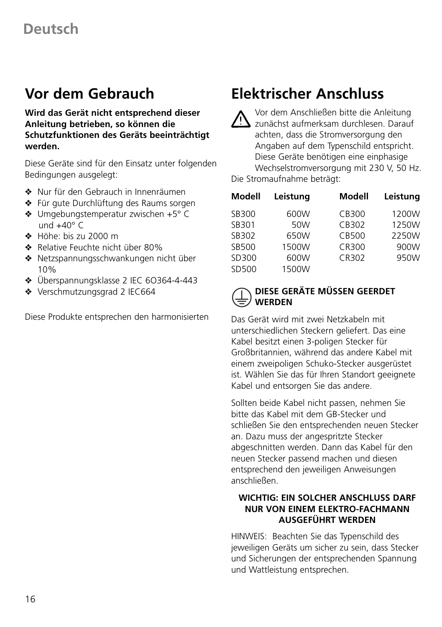### **Vor dem Gebrauch**

**Wird das Gerät nicht entsprechend dieser Anleitung betrieben, so können die Schutzfunktionen des Geräts beeinträchtigt werden.**

Diese Geräte sind für den Einsatz unter folgenden Bedingungen ausgelegt:

- ❖ Nur für den Gebrauch in Innenräumen
- ❖ Für gute Durchlüftung des Raums sorgen
- ❖ Umgebungstemperatur zwischen +5° C und  $+40^{\circ}$  C
- ❖ Höhe: bis zu 2000 m
- ❖ Relative Feuchte nicht über 80%
- ❖ Netzspannungsschwankungen nicht über 10%
- ❖ Überspannungsklasse 2 IEC 6O364-4-443
- ❖ Verschmutzungsgrad 2 IEC664

Diese Produkte entsprechen den harmonisierten

### **Elektrischer Anschluss**

Vor dem Anschließen bitte die Anleitung zunächst aufmerksam durchlesen. Darauf achten, dass die Stromversorgung den Angaben auf dem Typenschild entspricht. Diese Geräte benötigen eine einphasige Wechselstromversorgung mit 230 V, 50 Hz.

Die Stromaufnahme beträgt:

| Modell | Leistung | Modell | Leistung |
|--------|----------|--------|----------|
| SB300  | 600W     | CB300  | 1200W    |
| SB301  | 50W      | CB302  | 1250W    |
| SB302  | 650W     | CB500  | 2250W    |
| SB500  | 1500W    | CR300  | 900W     |
| SD300  | 600W     | CR302  | 950W     |
| SD500  | 1500W    |        |          |

### **DIESE GERÄTE MÜSSEN GEERDET WERDEN**

Das Gerät wird mit zwei Netzkabeln mit unterschiedlichen Steckern geliefert. Das eine Kabel besitzt einen 3-poligen Stecker für Großbritannien, während das andere Kabel mit einem zweipoligen Schuko-Stecker ausgerüstet ist. Wählen Sie das für Ihren Standort geeignete Kabel und entsorgen Sie das andere.

Sollten beide Kabel nicht passen, nehmen Sie bitte das Kabel mit dem GB-Stecker und schließen Sie den entsprechenden neuen Stecker an. Dazu muss der angespritzte Stecker abgeschnitten werden. Dann das Kabel für den neuen Stecker passend machen und diesen entsprechend den jeweiligen Anweisungen anschließen.

### **WICHTIG: EIN SOLCHER ANSCHLUSS DARF NUR VON EINEM ELEKTRO-FACHMANN AUSGEFÜHRT WERDEN**

HINWEIS: Beachten Sie das Typenschild des jeweiligen Geräts um sicher zu sein, dass Stecker und Sicherungen der entsprechenden Spannung und Wattleistung entsprechen.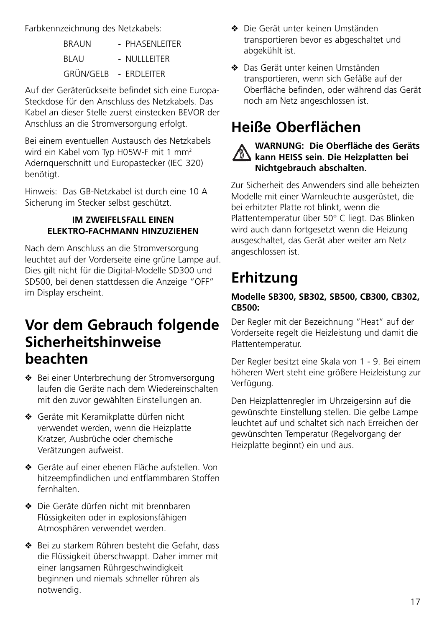Farbkennzeichnung des Netzkabels:

| <b>BRAUN</b> | - PHASENLEITER |
|--------------|----------------|
| <b>BLAU</b>  | $-$ NULLETER   |
| GRÜN/GELB    | - FRDI FITFR   |

Auf der Geräterückseite befindet sich eine Europa-Steckdose für den Anschluss des Netzkabels. Das Kabel an dieser Stelle zuerst einstecken BEVOR der Anschluss an die Stromversorgung erfolgt.

Bei einem eventuellen Austausch des Netzkabels wird ein Kabel vom Typ H05W-F mit 1 mm<sup>2</sup> Adernquerschnitt und Europastecker (IEC 320) benötigt.

Hinweis: Das GB-Netzkabel ist durch eine 10 A Sicherung im Stecker selbst geschützt.

### **IM ZWEIFELSFALL EINEN ELEKTRO-FACHMANN HINZUZIEHEN**

Nach dem Anschluss an die Stromversorgung leuchtet auf der Vorderseite eine grüne Lampe auf. Dies gilt nicht für die Digital-Modelle SD300 und SD500, bei denen stattdessen die Anzeige "OFF" im Display erscheint.

### **Vor dem Gebrauch folgende Sicherheitshinweise beachten**

- ❖ Bei einer Unterbrechung der Stromversorgung laufen die Geräte nach dem Wiedereinschalten mit den zuvor gewählten Einstellungen an.
- ❖ Geräte mit Keramikplatte dürfen nicht verwendet werden, wenn die Heizplatte Kratzer, Ausbrüche oder chemische Verätzungen aufweist.
- ❖ Geräte auf einer ebenen Fläche aufstellen. Von hitzeempfindlichen und entflammbaren Stoffen fernhalten.
- ❖ Die Geräte dürfen nicht mit brennbaren Flüssigkeiten oder in explosionsfähigen Atmosphären verwendet werden.
- ❖ Bei zu starkem Rühren besteht die Gefahr, dass die Flüssigkeit überschwappt. Daher immer mit einer langsamen Rührgeschwindigkeit beginnen und niemals schneller rühren als notwendig.
- ❖ Die Gerät unter keinen Umständen transportieren bevor es abgeschaltet und abgekühlt ist.
- ❖ Das Gerät unter keinen Umständen transportieren, wenn sich Gefäße auf der Oberfläche befinden, oder während das Gerät noch am Netz angeschlossen ist.

# **Heiße Oberflächen**

### **WARNUNG: Die Oberfläche des Geräts kann HEISS sein. Die Heizplatten bei Nichtgebrauch abschalten.**

Zur Sicherheit des Anwenders sind alle beheizten Modelle mit einer Warnleuchte ausgerüstet, die bei erhitzter Platte rot blinkt, wenn die Plattentemperatur über 50° C liegt. Das Blinken wird auch dann fortgesetzt wenn die Heizung ausgeschaltet, das Gerät aber weiter am Netz angeschlossen ist.

# **Erhitzung**

### **Modelle SB300, SB302, SB500, CB300, CB302, CB500:**

Der Regler mit der Bezeichnung "Heat" auf der Vorderseite regelt die Heizleistung und damit die Plattentemperatur.

Der Regler besitzt eine Skala von 1 - 9. Bei einem höheren Wert steht eine größere Heizleistung zur Verfügung.

Den Heizplattenregler im Uhrzeigersinn auf die gewünschte Einstellung stellen. Die gelbe Lampe leuchtet auf und schaltet sich nach Erreichen der gewünschten Temperatur (Regelvorgang der Heizplatte beginnt) ein und aus.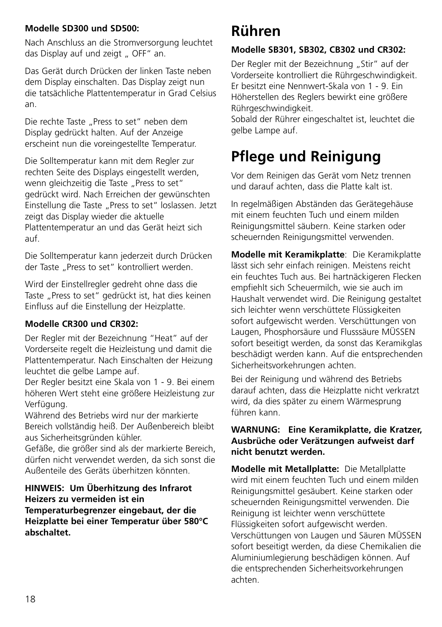### **Modelle SD300 und SD500:**

Nach Anschluss an die Stromversorgung leuchtet das Display auf und zeigt " OFF" an.

Das Gerät durch Drücken der linken Taste neben dem Display einschalten. Das Display zeigt nun die tatsächliche Plattentemperatur in Grad Celsius an.

Die rechte Taste "Press to set" neben dem Display gedrückt halten. Auf der Anzeige erscheint nun die voreingestellte Temperatur.

Die Solltemperatur kann mit dem Regler zur rechten Seite des Displays eingestellt werden, wenn gleichzeitig die Taste "Press to set" gedrückt wird. Nach Erreichen der gewünschten Einstellung die Taste "Press to set" loslassen. Jetzt zeigt das Display wieder die aktuelle Plattentemperatur an und das Gerät heizt sich auf.

Die Solltemperatur kann jederzeit durch Drücken der Taste "Press to set" kontrolliert werden.

Wird der Einstellregler gedreht ohne dass die Taste "Press to set" gedrückt ist, hat dies keinen Einfluss auf die Einstellung der Heizplatte.

### **Modelle CR300 und CR302:**

Der Regler mit der Bezeichnung "Heat" auf der Vorderseite regelt die Heizleistung und damit die Plattentemperatur. Nach Einschalten der Heizung leuchtet die gelbe Lampe auf.

Der Regler besitzt eine Skala von 1 - 9. Bei einem höheren Wert steht eine größere Heizleistung zur Verfügung.

Während des Betriebs wird nur der markierte Bereich vollständig heiß. Der Außenbereich bleibt aus Sicherheitsgründen kühler.

Gefäße, die größer sind als der markierte Bereich, dürfen nicht verwendet werden, da sich sonst die Außenteile des Geräts überhitzen könnten.

**HINWEIS: Um Überhitzung des Infrarot Heizers zu vermeiden ist ein Temperaturbegrenzer eingebaut, der die Heizplatte bei einer Temperatur über 580°C abschaltet.**

### **Rühren**

### **Modelle SB301, SB302, CB302 und CR302:**

Der Regler mit der Bezeichnung "Stir" auf der Vorderseite kontrolliert die Rührgeschwindigkeit. Er besitzt eine Nennwert-Skala von 1 - 9. Ein Höherstellen des Reglers bewirkt eine größere Rührgeschwindigkeit.

Sobald der Rührer eingeschaltet ist, leuchtet die gelbe Lampe auf.

# **Pflege und Reinigung**

Vor dem Reinigen das Gerät vom Netz trennen und darauf achten, dass die Platte kalt ist.

In regelmäßigen Abständen das Gerätegehäuse mit einem feuchten Tuch und einem milden Reinigungsmittel säubern. Keine starken oder scheuernden Reinigungsmittel verwenden.

**Modelle mit Keramikplatte**: Die Keramikplatte lässt sich sehr einfach reinigen. Meistens reicht ein feuchtes Tuch aus. Bei hartnäckigeren Flecken empfiehlt sich Scheuermilch, wie sie auch im Haushalt verwendet wird. Die Reinigung gestaltet sich leichter wenn verschüttete Flüssigkeiten sofort aufgewischt werden. Verschüttungen von Laugen, Phosphorsäure und Flusssäure MÜSSEN sofort beseitigt werden, da sonst das Keramikglas beschädigt werden kann. Auf die entsprechenden Sicherheitsvorkehrungen achten.

Bei der Reinigung und während des Betriebs darauf achten, dass die Heizplatte nicht verkratzt wird, da dies später zu einem Wärmesprung führen kann.

#### **WARNUNG: Eine Keramikplatte, die Kratzer, Ausbrüche oder Verätzungen aufweist darf nicht benutzt werden.**

**Modelle mit Metallplatte:** Die Metallplatte wird mit einem feuchten Tuch und einem milden Reinigungsmittel gesäubert. Keine starken oder scheuernden Reinigungsmittel verwenden. Die Reinigung ist leichter wenn verschüttete Flüssigkeiten sofort aufgewischt werden. Verschüttungen von Laugen und Säuren MÜSSEN sofort beseitigt werden, da diese Chemikalien die Aluminiumlegierung beschädigen können. Auf die entsprechenden Sicherheitsvorkehrungen achten.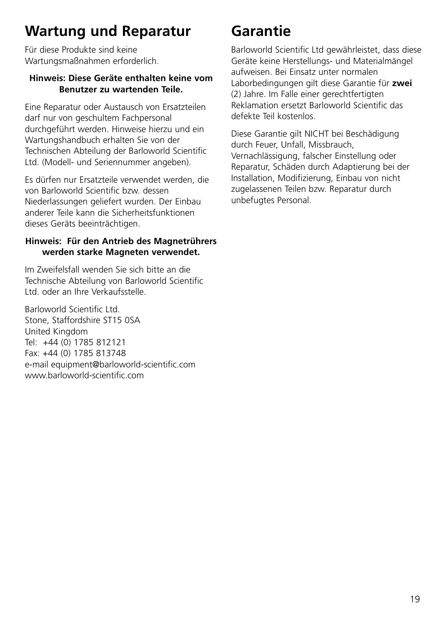## **Wartung und Reparatur**

Für diese Produkte sind keine Wartungsmaßnahmen erforderlich.

#### **Hinweis: Diese Geräte enthalten keine vom Benutzer zu wartenden Teile.**

Eine Reparatur oder Austausch von Ersatzteilen darf nur von geschultem Fachpersonal durchgeführt werden. Hinweise hierzu und ein Wartungshandbuch erhalten Sie von der Technischen Abteilung der Barloworld Scientific Ltd. (Modell- und Seriennummer angeben).

Es dürfen nur Ersatzteile verwendet werden, die von Barloworld Scientific bzw. dessen Niederlassungen geliefert wurden. Der Einbau anderer Teile kann die Sicherheitsfunktionen dieses Geräts beeinträchtigen.

### **Hinweis: Für den Antrieb des Magnetrührers werden starke Magneten verwendet.**

Im Zweifelsfall wenden Sie sich bitte an die Technische Abteilung von Barloworld Scientific Ltd. oder an Ihre Verkaufsstelle.

Barloworld Scientific Ltd. Stone, Staffordshire ST15 0SA United Kingdom Tel: +44 (0) 1785 812121 Fax: +44 (0) 1785 813748 e-mail equipment@barloworld-scientific.com www.barloworld-scientific.com

# **Garantie**

Barloworld Scientific Ltd gewährleistet, dass diese Geräte keine Herstellungs- und Materialmängel aufweisen. Bei Einsatz unter normalen Laborbedingungen gilt diese Garantie für **zwei** (2) Jahre. Im Falle einer gerechtfertigten Reklamation ersetzt Barloworld Scientific das defekte Teil kostenlos.

Diese Garantie gilt NICHT bei Beschädigung durch Feuer, Unfall, Missbrauch, Vernachlässigung, falscher Einstellung oder Reparatur, Schäden durch Adaptierung bei der Installation, Modifizierung, Einbau von nicht zugelassenen Teilen bzw. Reparatur durch unbefugtes Personal.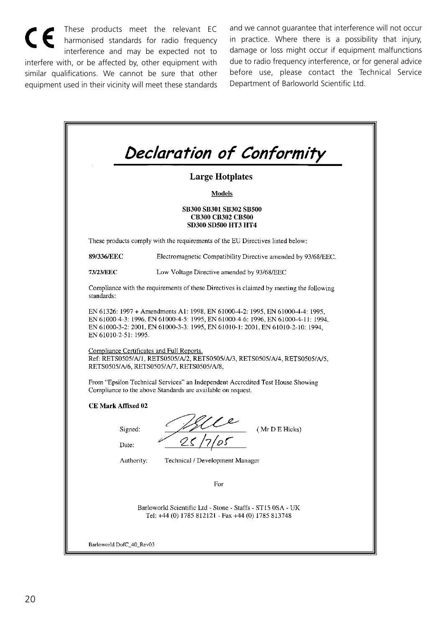These products meet the relevant EC harmonised standards for radio frequency interference and may be expected not to interfere with, or be affected by, other equipment with similar qualifications. We cannot be sure that other equipment used in their vicinity will meet these standards and we cannot guarantee that interference will not occur in practice. Where there is a possibility that injury, damage or loss might occur if equipment malfunctions due to radio frequency interference, or for general advice before use, please contact the Technical Service Department of Barloworld Scientific Ltd.

|                      | <b>Large Hotplates</b>                                                                                                                                                                                                                              |
|----------------------|-----------------------------------------------------------------------------------------------------------------------------------------------------------------------------------------------------------------------------------------------------|
|                      | Models                                                                                                                                                                                                                                              |
|                      | <b>SB300 SB301 SB302 SB500</b><br><b>CB300 CB302 CB500</b><br><b>SD300 SD500 HT3 HT4</b>                                                                                                                                                            |
|                      | These products comply with the requirements of the EU Directives listed below:                                                                                                                                                                      |
| 89/336/EEC           | Electromagnetic Compatibility Directive amended by 93/68/EEC.                                                                                                                                                                                       |
| 73/23/EEC            | Low Voltage Directive amended by 93/68/EEC                                                                                                                                                                                                          |
| standards:           | Compliance with the requirements of these Directives is claimed by meeting the following                                                                                                                                                            |
| EN 61010-2-51: 1995. | EN 61326: 1997 + Amendments A1: 1998, EN 61000-4-2: 1995, EN 61000-4-4: 1995,<br>EN 61000-4-3: 1996, EN 61000-4-5: 1995, EN 61000-4-6: 1996, EN 61000-4-11: 1994.<br>EN 61000-3-2: 2001, EN 61000-3-3: 1995, EN 61010-1: 2001, EN 61010-2-10: 1994. |
|                      | Compliance Certificates and Full Reports.<br>Ref: RETS0505/A/1, RETS0505/A/2, RETS0505/A/3, RETS0505/A/4, RETS0505/A/5,<br>RETS0505/A/6, RETS0505/A/7, RETS0505/A/8,                                                                                |
|                      | From "Epsilon Technical Services" an Independent Accredited Test House Showing<br>Compliance to the above Standards are available on request.                                                                                                       |
|                      |                                                                                                                                                                                                                                                     |
| CE Mark Affixed 02   |                                                                                                                                                                                                                                                     |
| Signed:<br>Date:     | (Mr D E Hicks)                                                                                                                                                                                                                                      |
| Authority:           | Technical / Development Manager                                                                                                                                                                                                                     |
|                      | For                                                                                                                                                                                                                                                 |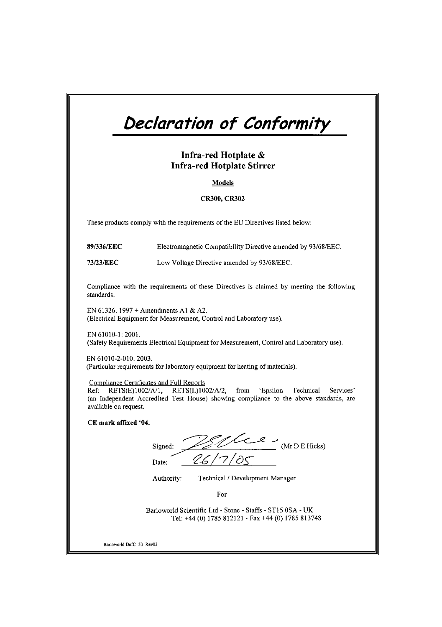# Declaration of Conformity

#### Infra-red Hotplate & **Infra-red Hotplate Stirrer**

Models

#### **CR300, CR302**

These products comply with the requirements of the EU Directives listed below:

89/336/EEC Electromagnetic Compatibility Directive amended by 93/68/EEC.

73/23/EEC Low Voltage Directive amended by 93/68/EEC.

Compliance with the requirements of these Directives is claimed by meeting the following standards:

EN 61326: 1997 + Amendments A1 & A2. (Electrical Equipment for Measurement, Control and Laboratory use).

EN 61010-1: 2001. (Safety Requirements Electrical Equipment for Measurement, Control and Laboratory use).

EN 61010-2-010: 2003. (Particular requirements for laboratory equipment for heating of materials).

Compliance Certificates and Full Reports

Ref: RETS(E)1002/A/1, RETS(L)1002/A/2, from 'Epsilon Technical Services' (an Independent Accredited Test House) showing compliance to the above standards, are available on request.

CE mark affixed '04.

(Mr D E Hicks) Signed: Date:

Technical / Development Manager Authority:

For

Barloworld Scientific Ltd - Stone - Staffs - ST15 0SA - UK Tel: +44 (0) 1785 812121 - Fax +44 (0) 1785 813748

Barloworld DofC\_53\_Rev02